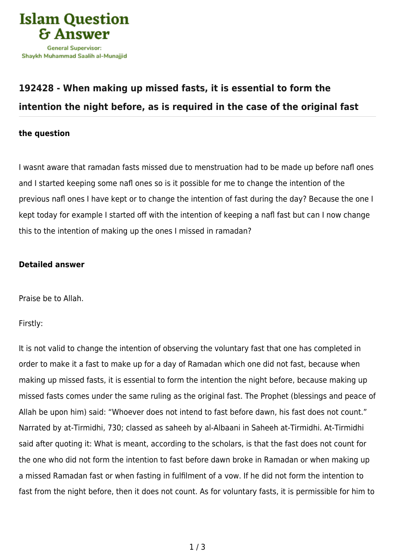

## **[192428 - When making up missed fasts, it is essential to form the](https://islamqa.com/en/answers/192428/when-making-up-missed-fasts-it-is-essential-to-form-the-intention-the-night-before-as-is-required-in-the-case-of-the-original-fast) [intention the night before, as is required in the case of the original fast](https://islamqa.com/en/answers/192428/when-making-up-missed-fasts-it-is-essential-to-form-the-intention-the-night-before-as-is-required-in-the-case-of-the-original-fast)**

## **the question**

I wasnt aware that ramadan fasts missed due to menstruation had to be made up before nafl ones and I started keeping some nafl ones so is it possible for me to change the intention of the previous nafl ones I have kept or to change the intention of fast during the day? Because the one I kept today for example I started off with the intention of keeping a nafl fast but can I now change this to the intention of making up the ones I missed in ramadan?

## **Detailed answer**

Praise be to Allah.

Firstly:

It is not valid to change the intention of observing the voluntary fast that one has completed in order to make it a fast to make up for a day of Ramadan which one did not fast, because when making up missed fasts, it is essential to form the intention the night before, because making up missed fasts comes under the same ruling as the original fast. The Prophet (blessings and peace of Allah be upon him) said: "Whoever does not intend to fast before dawn, his fast does not count." Narrated by at-Tirmidhi, 730; classed as saheeh by al-Albaani in Saheeh at-Tirmidhi. At-Tirmidhi said after quoting it: What is meant, according to the scholars, is that the fast does not count for the one who did not form the intention to fast before dawn broke in Ramadan or when making up a missed Ramadan fast or when fasting in fulfilment of a vow. If he did not form the intention to fast from the night before, then it does not count. As for voluntary fasts, it is permissible for him to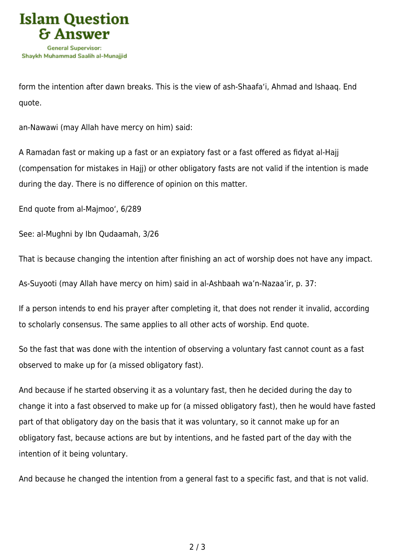

form the intention after dawn breaks. This is the view of ash-Shaafa'i, Ahmad and Ishaaq. End quote.

an-Nawawi (may Allah have mercy on him) said:

A Ramadan fast or making up a fast or an expiatory fast or a fast offered as fidyat al-Hajj (compensation for mistakes in Hajj) or other obligatory fasts are not valid if the intention is made during the day. There is no difference of opinion on this matter.

End quote from al-Majmoo', 6/289

See: al-Mughni by Ibn Qudaamah, 3/26

That is because changing the intention after finishing an act of worship does not have any impact.

As-Suyooti (may Allah have mercy on him) said in al-Ashbaah wa'n-Nazaa'ir, p. 37:

If a person intends to end his prayer after completing it, that does not render it invalid, according to scholarly consensus. The same applies to all other acts of worship. End quote.

So the fast that was done with the intention of observing a voluntary fast cannot count as a fast observed to make up for (a missed obligatory fast).

And because if he started observing it as a voluntary fast, then he decided during the day to change it into a fast observed to make up for (a missed obligatory fast), then he would have fasted part of that obligatory day on the basis that it was voluntary, so it cannot make up for an obligatory fast, because actions are but by intentions, and he fasted part of the day with the intention of it being voluntary.

And because he changed the intention from a general fast to a specific fast, and that is not valid.